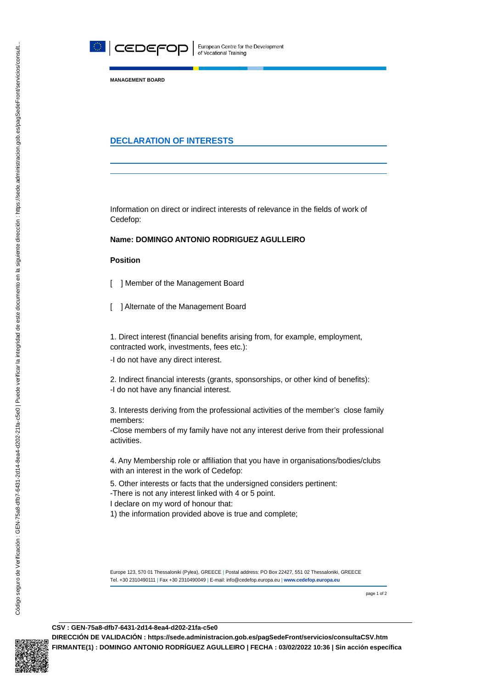

**MANAGEMENT BOARD**

## **DECLARATION OF INTERESTS**

Information on direct or indirect interests of relevance in the fields of work of Cedefop:

## **Name: DOMINGO ANTONIO RODRIGUEZ AGULLEIRO**

## **Position**

- [ ] Member of the Management Board
- [ ] Alternate of the Management Board

1. Direct interest (financial benefits arising from, for example, employment, contracted work, investments, fees etc.):

-I do not have any direct interest.

2. Indirect financial interests (grants, sponsorships, or other kind of benefits): -I do not have any financial interest.

3. Interests deriving from the professional activities of the member's close family members:

-Close members of my family have not any interest derive from their professional activities.

4. Any Membership role or affiliation that you have in organisations/bodies/clubs with an interest in the work of Cedefop:

5. Other interests or facts that the undersigned considers pertinent:

-There is not any interest linked with 4 or 5 point.

I declare on my word of honour that:

1) the information provided above is true and complete;

Europe 123, 570 01 Thessaloniki (Pylea), GREECE | Postal address: PO Box 22427, 551 02 Thessaloniki, GREECE Τel. +30 2310490111 | Fax +30 2310490049 | E-mail: info@cedefop.europa.eu | **www.cedefop.europa.eu**

page 1 of 2

## **CSV : GEN-75a8-dfb7-6431-2d14-8ea4-d202-21fa-c5e0**

**DIRECCIÓN DE VALIDACIÓN : https://sede.administracion.gob.es/pagSedeFront/servicios/consultaCSV.htm FIRMANTE(1) : DOMINGO ANTONIO RODRÍGUEZ AGULLEIRO | FECHA : 03/02/2022 10:36 | Sin acción específica**